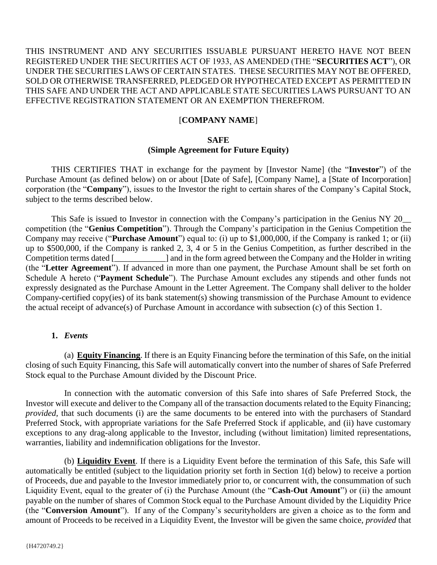### THIS INSTRUMENT AND ANY SECURITIES ISSUABLE PURSUANT HERETO HAVE NOT BEEN REGISTERED UNDER THE SECURITIES ACT OF 1933, AS AMENDED (THE "**SECURITIES ACT**"), OR UNDER THE SECURITIES LAWS OF CERTAIN STATES. THESE SECURITIES MAY NOT BE OFFERED, SOLD OR OTHERWISE TRANSFERRED, PLEDGED OR HYPOTHECATED EXCEPT AS PERMITTED IN THIS SAFE AND UNDER THE ACT AND APPLICABLE STATE SECURITIES LAWS PURSUANT TO AN EFFECTIVE REGISTRATION STATEMENT OR AN EXEMPTION THEREFROM.

### [**COMPANY NAME**]

#### **SAFE (Simple Agreement for Future Equity)**

THIS CERTIFIES THAT in exchange for the payment by [Investor Name] (the "**Investor**") of the Purchase Amount (as defined below) on or about [Date of Safe], [Company Name], a [State of Incorporation] corporation (the "**Company**"), issues to the Investor the right to certain shares of the Company's Capital Stock, subject to the terms described below.

This Safe is issued to Investor in connection with the Company's participation in the Genius NY 20\_\_ competition (the "**Genius Competition**"). Through the Company's participation in the Genius Competition the Company may receive ("**Purchase Amount**") equal to: (i) up to \$1,000,000, if the Company is ranked 1; or (ii) up to \$500,000, if the Company is ranked 2, 3, 4 or 5 in the Genius Competition, as further described in the Competition terms dated [\_\_\_\_\_\_\_\_\_\_\_\_] and in the form agreed between the Company and the Holder in writing (the "**Letter Agreement**"). If advanced in more than one payment, the Purchase Amount shall be set forth on Schedule A hereto ("**Payment Schedule**"). The Purchase Amount excludes any stipends and other funds not expressly designated as the Purchase Amount in the Letter Agreement. The Company shall deliver to the holder Company-certified copy(ies) of its bank statement(s) showing transmission of the Purchase Amount to evidence the actual receipt of advance(s) of Purchase Amount in accordance with subsection (c) of this Section 1.

#### **1.** *Events*

(a) **Equity Financing**. If there is an Equity Financing before the termination of this Safe, on the initial closing of such Equity Financing, this Safe will automatically convert into the number of shares of Safe Preferred Stock equal to the Purchase Amount divided by the Discount Price.

In connection with the automatic conversion of this Safe into shares of Safe Preferred Stock, the Investor will execute and deliver to the Company all of the transaction documents related to the Equity Financing; *provided*, that such documents (i) are the same documents to be entered into with the purchasers of Standard Preferred Stock, with appropriate variations for the Safe Preferred Stock if applicable, and (ii) have customary exceptions to any drag-along applicable to the Investor, including (without limitation) limited representations, warranties, liability and indemnification obligations for the Investor.

(b) **Liquidity Event**. If there is a Liquidity Event before the termination of this Safe, this Safe will automatically be entitled (subject to the liquidation priority set forth in Section 1(d) below) to receive a portion of Proceeds, due and payable to the Investor immediately prior to, or concurrent with, the consummation of such Liquidity Event, equal to the greater of (i) the Purchase Amount (the "**Cash-Out Amount**") or (ii) the amount payable on the number of shares of Common Stock equal to the Purchase Amount divided by the Liquidity Price (the "**Conversion Amount**"). If any of the Company's securityholders are given a choice as to the form and amount of Proceeds to be received in a Liquidity Event, the Investor will be given the same choice, *provided* that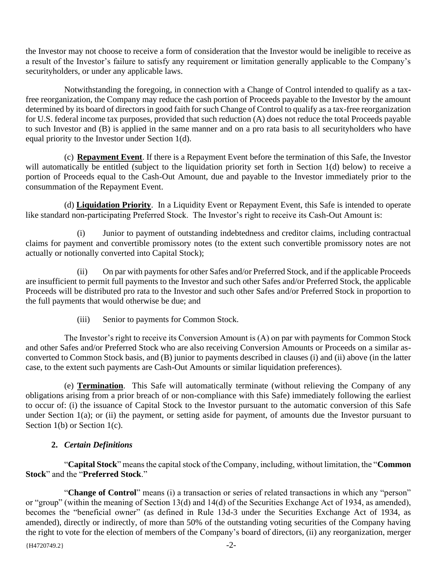the Investor may not choose to receive a form of consideration that the Investor would be ineligible to receive as a result of the Investor's failure to satisfy any requirement or limitation generally applicable to the Company's securityholders, or under any applicable laws.

Notwithstanding the foregoing, in connection with a Change of Control intended to qualify as a taxfree reorganization, the Company may reduce the cash portion of Proceeds payable to the Investor by the amount determined by its board of directors in good faith for such Change of Control to qualify as a tax-free reorganization for U.S. federal income tax purposes, provided that such reduction (A) does not reduce the total Proceeds payable to such Investor and (B) is applied in the same manner and on a pro rata basis to all securityholders who have equal priority to the Investor under Section 1(d).

(c) **Repayment Event**. If there is a Repayment Event before the termination of this Safe, the Investor will automatically be entitled (subject to the liquidation priority set forth in Section 1(d) below) to receive a portion of Proceeds equal to the Cash-Out Amount, due and payable to the Investor immediately prior to the consummation of the Repayment Event.

(d) **Liquidation Priority**. In a Liquidity Event or Repayment Event, this Safe is intended to operate like standard non-participating Preferred Stock. The Investor's right to receive its Cash-Out Amount is:

(i) Junior to payment of outstanding indebtedness and creditor claims, including contractual claims for payment and convertible promissory notes (to the extent such convertible promissory notes are not actually or notionally converted into Capital Stock);

(ii) On par with payments for other Safes and/or Preferred Stock, and if the applicable Proceeds are insufficient to permit full payments to the Investor and such other Safes and/or Preferred Stock, the applicable Proceeds will be distributed pro rata to the Investor and such other Safes and/or Preferred Stock in proportion to the full payments that would otherwise be due; and

(iii) Senior to payments for Common Stock.

The Investor's right to receive its Conversion Amount is (A) on par with payments for Common Stock and other Safes and/or Preferred Stock who are also receiving Conversion Amounts or Proceeds on a similar asconverted to Common Stock basis, and (B) junior to payments described in clauses (i) and (ii) above (in the latter case, to the extent such payments are Cash-Out Amounts or similar liquidation preferences).

(e) **Termination**. This Safe will automatically terminate (without relieving the Company of any obligations arising from a prior breach of or non-compliance with this Safe) immediately following the earliest to occur of: (i) the issuance of Capital Stock to the Investor pursuant to the automatic conversion of this Safe under Section 1(a); or (ii) the payment, or setting aside for payment, of amounts due the Investor pursuant to Section 1(b) or Section 1(c).

# **2.** *Certain Definitions*

"**Capital Stock**" means the capital stock of the Company, including, without limitation, the "**Common Stock**" and the "**Preferred Stock**."

"**Change of Control**" means (i) a transaction or series of related transactions in which any "person" or "group" (within the meaning of Section 13(d) and 14(d) of the Securities Exchange Act of 1934, as amended), becomes the "beneficial owner" (as defined in Rule 13d-3 under the Securities Exchange Act of 1934, as amended), directly or indirectly, of more than 50% of the outstanding voting securities of the Company having the right to vote for the election of members of the Company's board of directors, (ii) any reorganization, merger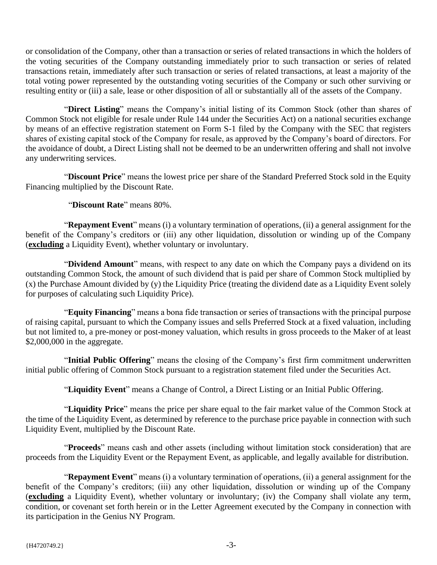or consolidation of the Company, other than a transaction or series of related transactions in which the holders of the voting securities of the Company outstanding immediately prior to such transaction or series of related transactions retain, immediately after such transaction or series of related transactions, at least a majority of the total voting power represented by the outstanding voting securities of the Company or such other surviving or resulting entity or (iii) a sale, lease or other disposition of all or substantially all of the assets of the Company.

"**Direct Listing**" means the Company's initial listing of its Common Stock (other than shares of Common Stock not eligible for resale under Rule 144 under the Securities Act) on a national securities exchange by means of an effective registration statement on Form S-1 filed by the Company with the SEC that registers shares of existing capital stock of the Company for resale, as approved by the Company's board of directors. For the avoidance of doubt, a Direct Listing shall not be deemed to be an underwritten offering and shall not involve any underwriting services.

"**Discount Price**" means the lowest price per share of the Standard Preferred Stock sold in the Equity Financing multiplied by the Discount Rate.

"**Discount Rate**" means 80%.

"**Repayment Event**" means (i) a voluntary termination of operations, (ii) a general assignment for the benefit of the Company's creditors or (iii) any other liquidation, dissolution or winding up of the Company (**excluding** a Liquidity Event), whether voluntary or involuntary.

"**Dividend Amount**" means, with respect to any date on which the Company pays a dividend on its outstanding Common Stock, the amount of such dividend that is paid per share of Common Stock multiplied by (x) the Purchase Amount divided by (y) the Liquidity Price (treating the dividend date as a Liquidity Event solely for purposes of calculating such Liquidity Price).

"**Equity Financing**" means a bona fide transaction or series of transactions with the principal purpose of raising capital, pursuant to which the Company issues and sells Preferred Stock at a fixed valuation, including but not limited to, a pre-money or post-money valuation, which results in gross proceeds to the Maker of at least \$2,000,000 in the aggregate.

"**Initial Public Offering**" means the closing of the Company's first firm commitment underwritten initial public offering of Common Stock pursuant to a registration statement filed under the Securities Act.

"**Liquidity Event**" means a Change of Control, a Direct Listing or an Initial Public Offering.

"**Liquidity Price**" means the price per share equal to the fair market value of the Common Stock at the time of the Liquidity Event, as determined by reference to the purchase price payable in connection with such Liquidity Event, multiplied by the Discount Rate.

"**Proceeds**" means cash and other assets (including without limitation stock consideration) that are proceeds from the Liquidity Event or the Repayment Event, as applicable, and legally available for distribution.

"**Repayment Event**" means (i) a voluntary termination of operations, (ii) a general assignment for the benefit of the Company's creditors; (iii) any other liquidation, dissolution or winding up of the Company (**excluding** a Liquidity Event), whether voluntary or involuntary; (iv) the Company shall violate any term, condition, or covenant set forth herein or in the Letter Agreement executed by the Company in connection with its participation in the Genius NY Program.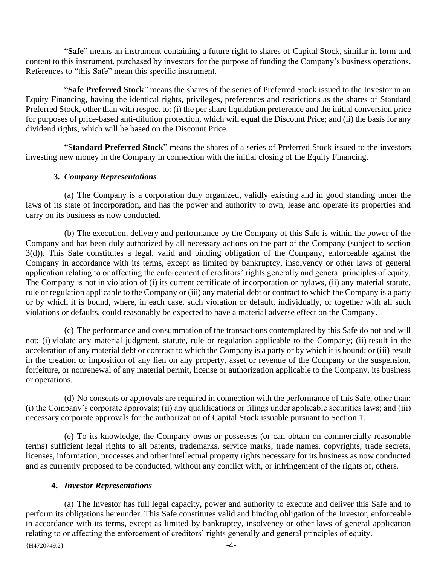"**Safe**" means an instrument containing a future right to shares of Capital Stock, similar in form and content to this instrument, purchased by investors for the purpose of funding the Company's business operations. References to "this Safe" mean this specific instrument.

"**Safe Preferred Stock**" means the shares of the series of Preferred Stock issued to the Investor in an Equity Financing, having the identical rights, privileges, preferences and restrictions as the shares of Standard Preferred Stock, other than with respect to: (i) the per share liquidation preference and the initial conversion price for purposes of price-based anti-dilution protection, which will equal the Discount Price; and (ii) the basis for any dividend rights, which will be based on the Discount Price.

"S**tandard Preferred Stock**" means the shares of a series of Preferred Stock issued to the investors investing new money in the Company in connection with the initial closing of the Equity Financing.

# **3.** *Company Representations*

(a) The Company is a corporation duly organized, validly existing and in good standing under the laws of its state of incorporation, and has the power and authority to own, lease and operate its properties and carry on its business as now conducted.

(b) The execution, delivery and performance by the Company of this Safe is within the power of the Company and has been duly authorized by all necessary actions on the part of the Company (subject to section 3(d)). This Safe constitutes a legal, valid and binding obligation of the Company, enforceable against the Company in accordance with its terms, except as limited by bankruptcy, insolvency or other laws of general application relating to or affecting the enforcement of creditors' rights generally and general principles of equity. The Company is not in violation of (i) its current certificate of incorporation or bylaws, (ii) any material statute, rule or regulation applicable to the Company or (iii) any material debt or contract to which the Company is a party or by which it is bound, where, in each case, such violation or default, individually, or together with all such violations or defaults, could reasonably be expected to have a material adverse effect on the Company.

(c) The performance and consummation of the transactions contemplated by this Safe do not and will not: (i) violate any material judgment, statute, rule or regulation applicable to the Company; (ii) result in the acceleration of any material debt or contract to which the Company is a party or by which it is bound; or (iii) result in the creation or imposition of any lien on any property, asset or revenue of the Company or the suspension, forfeiture, or nonrenewal of any material permit, license or authorization applicable to the Company, its business or operations.

(d) No consents or approvals are required in connection with the performance of this Safe, other than: (i) the Company's corporate approvals; (ii) any qualifications or filings under applicable securities laws; and (iii) necessary corporate approvals for the authorization of Capital Stock issuable pursuant to Section 1.

(e) To its knowledge, the Company owns or possesses (or can obtain on commercially reasonable terms) sufficient legal rights to all patents, trademarks, service marks, trade names, copyrights, trade secrets, licenses, information, processes and other intellectual property rights necessary for its business as now conducted and as currently proposed to be conducted, without any conflict with, or infringement of the rights of, others.

## **4.** *Investor Representations*

(a) The Investor has full legal capacity, power and authority to execute and deliver this Safe and to perform its obligations hereunder. This Safe constitutes valid and binding obligation of the Investor, enforceable in accordance with its terms, except as limited by bankruptcy, insolvency or other laws of general application relating to or affecting the enforcement of creditors' rights generally and general principles of equity.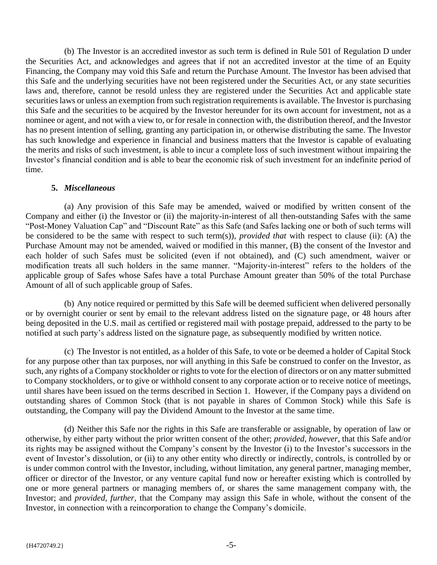(b) The Investor is an accredited investor as such term is defined in Rule 501 of Regulation D under the Securities Act, and acknowledges and agrees that if not an accredited investor at the time of an Equity Financing, the Company may void this Safe and return the Purchase Amount. The Investor has been advised that this Safe and the underlying securities have not been registered under the Securities Act, or any state securities laws and, therefore, cannot be resold unless they are registered under the Securities Act and applicable state securities laws or unless an exemption from such registration requirements is available. The Investor is purchasing this Safe and the securities to be acquired by the Investor hereunder for its own account for investment, not as a nominee or agent, and not with a view to, or for resale in connection with, the distribution thereof, and the Investor has no present intention of selling, granting any participation in, or otherwise distributing the same. The Investor has such knowledge and experience in financial and business matters that the Investor is capable of evaluating the merits and risks of such investment, is able to incur a complete loss of such investment without impairing the Investor's financial condition and is able to bear the economic risk of such investment for an indefinite period of time.

### **5.** *Miscellaneous*

(a) Any provision of this Safe may be amended, waived or modified by written consent of the Company and either (i) the Investor or (ii) the majority-in-interest of all then-outstanding Safes with the same "Post-Money Valuation Cap" and "Discount Rate" as this Safe (and Safes lacking one or both of such terms will be considered to be the same with respect to such term(s)), *provided that* with respect to clause (ii): (A) the Purchase Amount may not be amended, waived or modified in this manner, (B) the consent of the Investor and each holder of such Safes must be solicited (even if not obtained), and (C) such amendment, waiver or modification treats all such holders in the same manner. "Majority-in-interest" refers to the holders of the applicable group of Safes whose Safes have a total Purchase Amount greater than 50% of the total Purchase Amount of all of such applicable group of Safes.

(b) Any notice required or permitted by this Safe will be deemed sufficient when delivered personally or by overnight courier or sent by email to the relevant address listed on the signature page, or 48 hours after being deposited in the U.S. mail as certified or registered mail with postage prepaid, addressed to the party to be notified at such party's address listed on the signature page, as subsequently modified by written notice.

(c) The Investor is not entitled, as a holder of this Safe, to vote or be deemed a holder of Capital Stock for any purpose other than tax purposes, nor will anything in this Safe be construed to confer on the Investor, as such, any rights of a Company stockholder or rights to vote for the election of directors or on any matter submitted to Company stockholders, or to give or withhold consent to any corporate action or to receive notice of meetings, until shares have been issued on the terms described in Section 1. However, if the Company pays a dividend on outstanding shares of Common Stock (that is not payable in shares of Common Stock) while this Safe is outstanding, the Company will pay the Dividend Amount to the Investor at the same time.

(d) Neither this Safe nor the rights in this Safe are transferable or assignable, by operation of law or otherwise, by either party without the prior written consent of the other; *provided, however*, that this Safe and/or its rights may be assigned without the Company's consent by the Investor (i) to the Investor's successors in the event of Investor's dissolution, or (ii) to any other entity who directly or indirectly, controls, is controlled by or is under common control with the Investor, including, without limitation, any general partner, managing member, officer or director of the Investor, or any venture capital fund now or hereafter existing which is controlled by one or more general partners or managing members of, or shares the same management company with, the Investor; and *provided, further*, that the Company may assign this Safe in whole, without the consent of the Investor, in connection with a reincorporation to change the Company's domicile.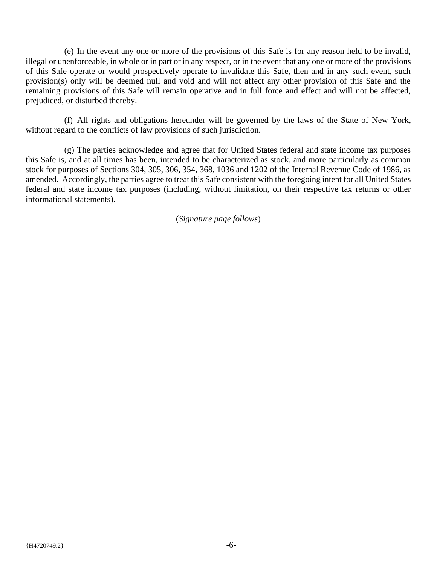(e) In the event any one or more of the provisions of this Safe is for any reason held to be invalid, illegal or unenforceable, in whole or in part or in any respect, or in the event that any one or more of the provisions of this Safe operate or would prospectively operate to invalidate this Safe, then and in any such event, such provision(s) only will be deemed null and void and will not affect any other provision of this Safe and the remaining provisions of this Safe will remain operative and in full force and effect and will not be affected, prejudiced, or disturbed thereby.

(f) All rights and obligations hereunder will be governed by the laws of the State of New York, without regard to the conflicts of law provisions of such jurisdiction.

(g) The parties acknowledge and agree that for United States federal and state income tax purposes this Safe is, and at all times has been, intended to be characterized as stock, and more particularly as common stock for purposes of Sections 304, 305, 306, 354, 368, 1036 and 1202 of the Internal Revenue Code of 1986, as amended. Accordingly, the parties agree to treat this Safe consistent with the foregoing intent for all United States federal and state income tax purposes (including, without limitation, on their respective tax returns or other informational statements).

(*Signature page follows*)